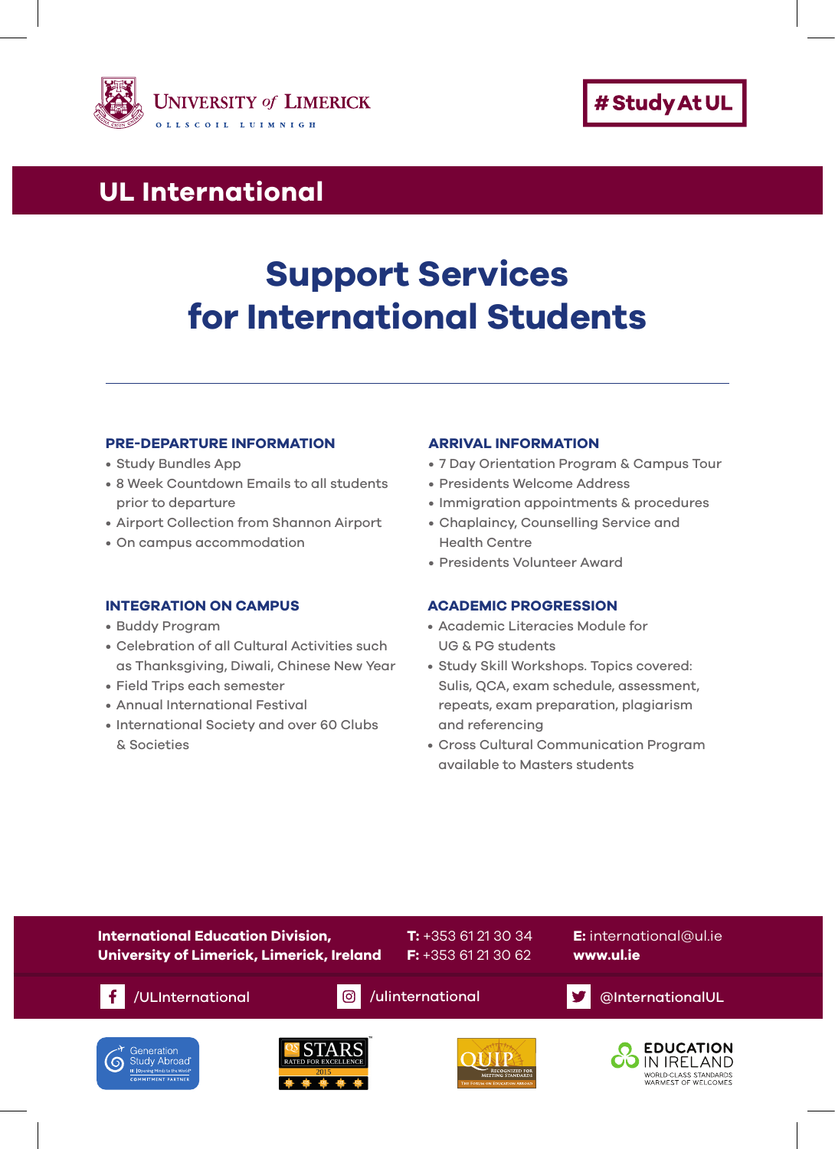



# **UL International UL International**

# **Support Services for International Students**

### **PRE-DEPARTURE INFORMATION**

- Study Bundles App
- 8 Week Countdown Emails to all students prior to departure
- Airport Collection from Shannon Airport
- On campus accommodation

### **INTEGRATION ON CAMPUS**

- Buddy Program
- Celebration of all Cultural Activities such as Thanksgiving, Diwali, Chinese New Year
- Field Trips each semester
- Annual International Festival
- International Society and over 60 Clubs & Societies

#### **ARRIVAL INFORMATION**

- 7 Day Orientation Program & Campus Tour
- Presidents Welcome Address
- Immigration appointments & procedures
- Chaplaincy, Counselling Service and Health Centre
- Presidents Volunteer Award

#### **ACADEMIC PROGRESSION**

- Academic Literacies Module for UG & PG students
- Study Skill Workshops. Topics covered: Sulis, QCA, exam schedule, assessment, repeats, exam preparation, plagiarism and referencing
- Cross Cultural Communication Program available to Masters students